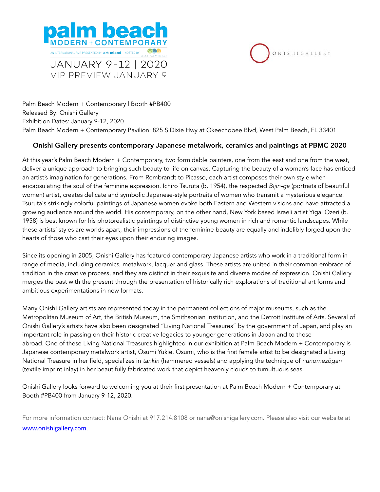



Palm Beach Modern + Contemporary | Booth #PB400 Released By: Onishi Gallery Exhibition Dates: January 9-12, 2020 Palm Beach Modern + Contemporary Pavilion: 825 S Dixie Hwy at Okeechobee Blvd, West Palm Beach, FL 33401

#### Onishi Gallery presents contemporary Japanese metalwork, ceramics and paintings at PBMC 2020

At this year's Palm Beach Modern + Contemporary, two formidable painters, one from the east and one from the west, deliver a unique approach to bringing such beauty to life on canvas. Capturing the beauty of a woman's face has enticed an artist's imagination for generations. From Rembrandt to Picasso, each artist composes their own style when encapsulating the soul of the feminine expression. Ichiro Tsuruta (b. 1954), the respected *Bijin-ga* (portraits of beautiful women) artist, creates delicate and symbolic Japanese-style portraits of women who transmit a mysterious elegance. Tsuruta's strikingly colorful paintings of Japanese women evoke both Eastern and Western visions and have attracted a growing audience around the world. His contemporary, on the other hand, New York based Israeli artist Yigal Ozeri (b. 1958) is best known for his photorealistic paintings of distinctive young women in rich and romantic landscapes. While these artists' styles are worlds apart, their impressions of the feminine beauty are equally and indelibly forged upon the hearts of those who cast their eyes upon their enduring images.

Since its opening in 2005, Onishi Gallery has featured contemporary Japanese artists who work in a traditional form in range of media, including ceramics, metalwork, lacquer and glass. These artists are united in their common embrace of tradition in the creative process, and they are distinct in their exquisite and diverse modes of expression. Onishi Gallery merges the past with the present through the presentation of historically rich explorations of traditional art forms and ambitious experimentations in new formats.

Many Onishi Gallery artists are represented today in the permanent collections of major museums, such as the Metropolitan Museum of Art, the British Museum, the Smithsonian Institution, and the Detroit Institute of Arts. Several of Onishi Gallery's artists have also been designated "Living National Treasures" by the government of Japan, and play an important role in passing on their historic creative legacies to younger generations in Japan and to those abroad. One of these Living National Treasures highlighted in our exhibition at Palm Beach Modern + Contemporary is Japanese contemporary metalwork artist, Osumi Yukie. Osumi, who is the first female artist to be designated a Living National Treasure in her field, specializes in *tankin* (hammered vessels) and applying the technique of *nunomez*ō*gan* (textile imprint inlay) in her beautifully fabricated work that depict heavenly clouds to tumultuous seas.

Onishi Gallery looks forward to welcoming you at their first presentation at Palm Beach Modern + Contemporary at Booth #PB400 from January 9-12, 2020.

For more information contact: Nana Onishi at 917.214.8108 or nana@onishigallery.com. Please also visit our website at [www.onishigallery.com](http://www.onishigallery.com).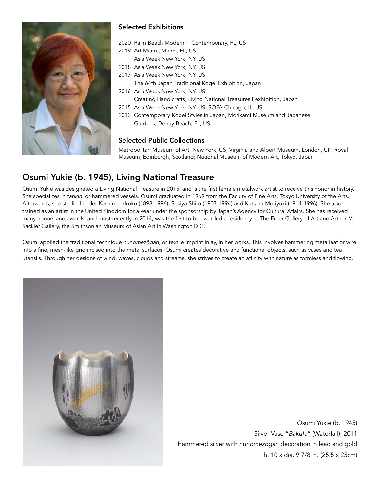

### Selected Exhibitions

- 2020 Palm Beach Modern + Contemporary, FL, US
- 2019 Art Miami, Miami, FL, US
- Asia Week New York, NY, US
- 2018 Asia Week New York, NY, US
- 2017 Asia Week New York, NY, US

The 64th Japan Traditional Kogei Exhibition, Japan

- 2016 Asia Week New York, NY, US Creating Handicrafts, Living National Treasures Eexhibition, Japan
- 2015 Asia Week New York, NY, US; SOFA Chicago, IL, US
- 2013 Contemporary Kogei Styles in Japan, Morikami Museum and Japanese Gardens, Delray Beach, FL, US

#### Selected Public Collections

Metropolitan Museum of Art, New York, US; Virginia and Albert Museum, London, UK; Royal Museum, Edinburgh, Scotland; National Museum of Modern Art, Tokyo, Japan

## Osumi Yukie (b. 1945), Living National Treasure

Osumi Yukie was designated a Living National Treasure in 2015, and is the first female metalwork artist to receive this honor in history. She specializes in *tankin*, or hammered vessels. Osumi graduated in 1969 from the Faculty of Fine Arts, Tokyo University of the Arts. Afterwards, she studied under Kashima Ikkoku (1898-1996), Sekiya Shiro (1907-1994) and Katsura Moriyuki (1914-1996). She also trained as an artist in the United Kingdom for a year under the sponsorship by Japan's Agency for Cultural Affairs. She has received many honors and awards, and most recently in 2014, was the first to be awarded a residency at The Freer Gallery of Art and Arthur M. Sackler Gallery, the Smithsonian Museum of Asian Art in Washington D.C.

Osumi applied the traditional technique *nunomez*ō*gan*, or textile imprint inlay, in her works. This involves hammering meta leaf or wire into a fine, mesh-like grid incised into the metal surfaces. Osumi creates decorative and functional objects, such as vases and tea utensils. Through her designs of wind, waves, clouds and streams, she strives to create an affinity with nature as formless and flowing.



Osumi Yukie (b. 1945) Silver Vase "*Bakufu*" (Waterfall), 2011 Hammered silver with *nunomez*ō*gan* decoration in lead and gold h. 10 x dia. 9 7/8 in. (25.5 x 25cm)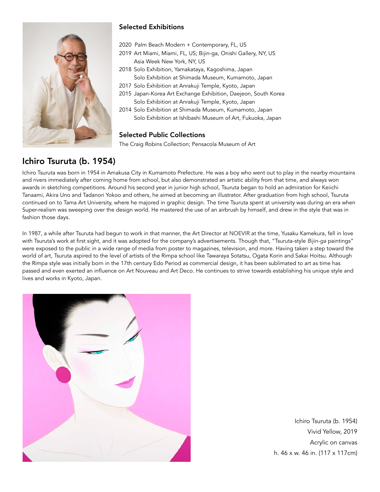

## Selected Exhibitions

- 2020 Palm Beach Modern + Contemporary, FL, US
- 2019 Art Miami, Miami, FL, US; Bijin-ga, Onishi Gallery, NY, US Asia Week New York, NY, US
- 2018 Solo Exhibition, Yamakataya, Kagoshima, Japan Solo Exhibition at Shimada Museum, Kumamoto, Japan
- 2017 Solo Exhibition at Anrakuji Temple, Kyoto, Japan
- 2015 Japan-Korea Art Exchange Exhibition, Daejeon, South Korea Solo Exhibition at Anrakuji Temple, Kyoto, Japan
- 2014 Solo Exhibition at Shimada Museum, Kumamoto, Japan Solo Exhibition at Ishibashi Museum of Art, Fukuoka, Japan

#### Selected Public Collections

The Craig Robins Collection; Pensacola Museum of Art

## Ichiro Tsuruta (b. 1954)

Ichiro Tsuruta was born in 1954 in Amakusa City in Kumamoto Prefecture. He was a boy who went out to play in the nearby mountains and rivers immediately after coming home from school, but also demonstrated an artistic ability from that time, and always won awards in sketching competitions. Around his second year in junior high school, Tsuruta began to hold an admiration for Keiichi Tanaami, Akira Uno and Tadanori Yokoo and others, he aimed at becoming an illustrator. After graduation from high school, Tsuruta continued on to Tama Art University, where he majored in graphic design. The time Tsuruta spent at university was during an era when Super-realism was sweeping over the design world. He mastered the use of an airbrush by himself, and drew in the style that was in fashion those days.

In 1987, a while after Tsuruta had begun to work in that manner, the Art Director at NOEVIR at the time, Yusaku Kamekura, fell in love with Tsuruta's work at first sight, and it was adopted for the company's advertisements. Though that, "Tsuruta-style *Bijin-ga* paintings" were exposed to the public in a wide range of media from poster to magazines, television, and more. Having taken a step toward the world of art, Tsuruta aspired to the level of artists of the Rimpa school like Tawaraya Sotatsu, Ogata Korin and Sakai Hoitsu. Although the Rimpa style was initially born in the 17th century Edo Period as commercial design, it has been sublimated to art as time has passed and even exerted an influence on Art Nouveau and Art Deco. He continues to strive towards establishing his unique style and lives and works in Kyoto, Japan.



Ichiro Tsuruta (b. 1954) Vivid Yellow, 2019 Acrylic on canvas h. 46 x w. 46 in. (117 x 117cm)